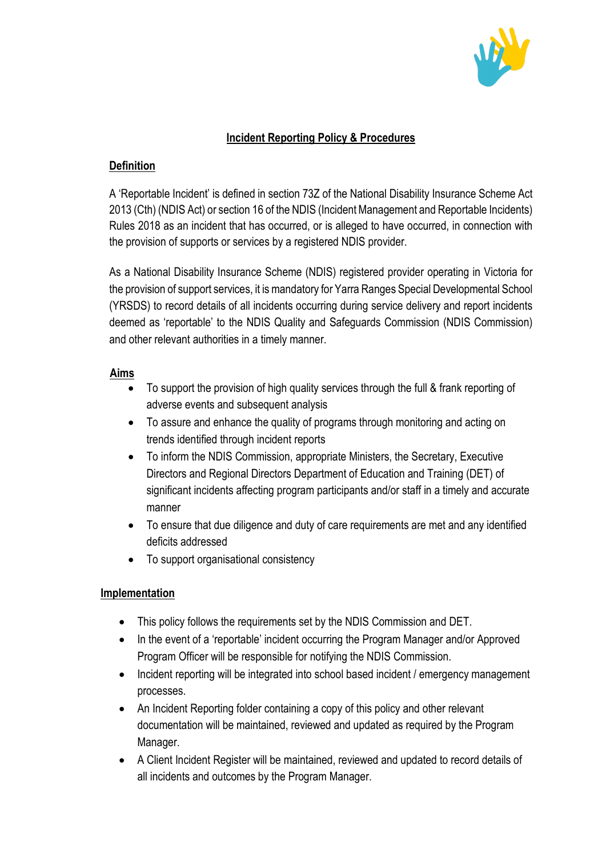

## **Incident Reporting Policy & Procedures**

# **Definition**

A 'Reportable Incident' is defined in section 73Z of the National Disability Insurance Scheme Act 2013 (Cth) (NDIS Act) or section 16 of the NDIS (Incident Management and Reportable Incidents) Rules 2018 as an incident that has occurred, or is alleged to have occurred, in connection with the provision of supports or services by a registered NDIS provider.

As a National Disability Insurance Scheme (NDIS) registered provider operating in Victoria for the provision of support services, it is mandatory for Yarra Ranges Special Developmental School (YRSDS) to record details of all incidents occurring during service delivery and report incidents deemed as 'reportable' to the NDIS Quality and Safeguards Commission (NDIS Commission) and other relevant authorities in a timely manner.

### **Aims**

- To support the provision of high quality services through the full & frank reporting of adverse events and subsequent analysis
- To assure and enhance the quality of programs through monitoring and acting on trends identified through incident reports
- To inform the NDIS Commission, appropriate Ministers, the Secretary, Executive Directors and Regional Directors Department of Education and Training (DET) of significant incidents affecting program participants and/or staff in a timely and accurate manner
- To ensure that due diligence and duty of care requirements are met and any identified deficits addressed
- To support organisational consistency

### **Implementation**

- This policy follows the requirements set by the NDIS Commission and DET.
- In the event of a 'reportable' incident occurring the Program Manager and/or Approved Program Officer will be responsible for notifying the NDIS Commission.
- Incident reporting will be integrated into school based incident / emergency management processes.
- An Incident Reporting folder containing a copy of this policy and other relevant documentation will be maintained, reviewed and updated as required by the Program Manager.
- A Client Incident Register will be maintained, reviewed and updated to record details of all incidents and outcomes by the Program Manager.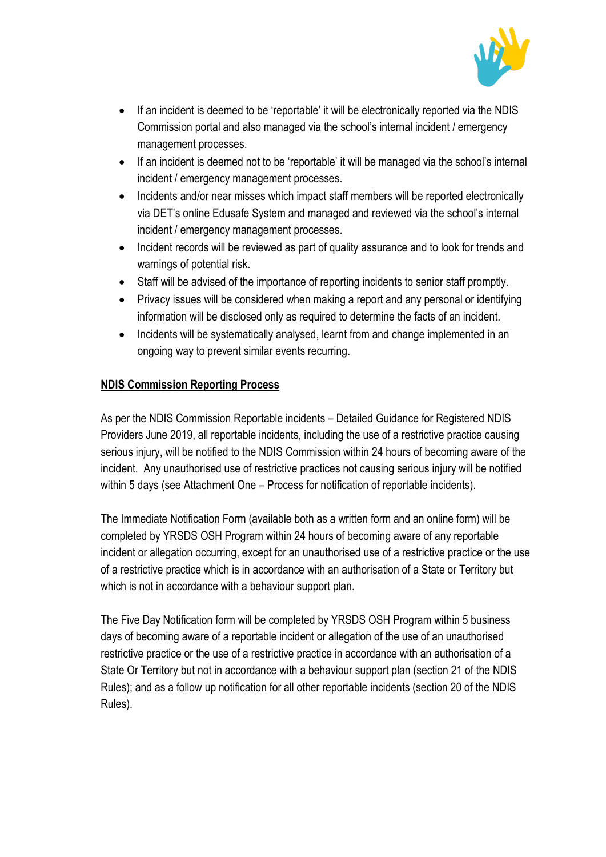

- If an incident is deemed to be 'reportable' it will be electronically reported via the NDIS Commission portal and also managed via the school's internal incident / emergency management processes.
- If an incident is deemed not to be 'reportable' it will be managed via the school's internal incident / emergency management processes.
- Incidents and/or near misses which impact staff members will be reported electronically via DET's online Edusafe System and managed and reviewed via the school's internal incident / emergency management processes.
- Incident records will be reviewed as part of quality assurance and to look for trends and warnings of potential risk.
- Staff will be advised of the importance of reporting incidents to senior staff promptly.
- Privacy issues will be considered when making a report and any personal or identifying information will be disclosed only as required to determine the facts of an incident.
- Incidents will be systematically analysed, learnt from and change implemented in an ongoing way to prevent similar events recurring.

### **NDIS Commission Reporting Process**

As per the NDIS Commission Reportable incidents – Detailed Guidance for Registered NDIS Providers June 2019, all reportable incidents, including the use of a restrictive practice causing serious injury, will be notified to the NDIS Commission within 24 hours of becoming aware of the incident. Any unauthorised use of restrictive practices not causing serious injury will be notified within 5 days (see Attachment One – Process for notification of reportable incidents).

The Immediate Notification Form (available both as a written form and an online form) will be completed by YRSDS OSH Program within 24 hours of becoming aware of any reportable incident or allegation occurring, except for an unauthorised use of a restrictive practice or the use of a restrictive practice which is in accordance with an authorisation of a State or Territory but which is not in accordance with a behaviour support plan.

The Five Day Notification form will be completed by YRSDS OSH Program within 5 business days of becoming aware of a reportable incident or allegation of the use of an unauthorised restrictive practice or the use of a restrictive practice in accordance with an authorisation of a State Or Territory but not in accordance with a behaviour support plan (section 21 of the NDIS Rules); and as a follow up notification for all other reportable incidents (section 20 of the NDIS Rules).